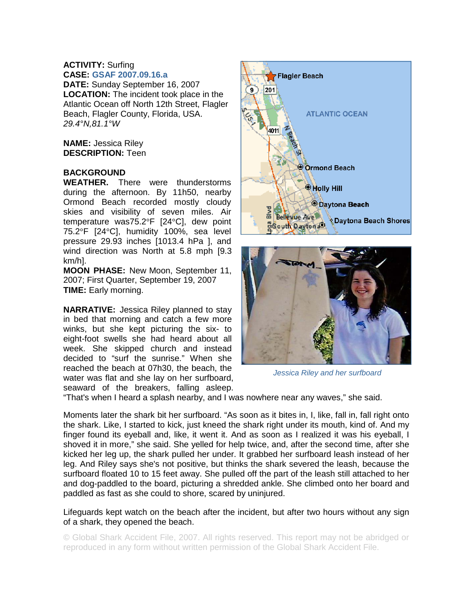## **ACTIVITY:** Surfing **CASE: GSAF 2007.09.16.a**

**DATE:** Sunday September 16, 2007 **LOCATION:** The incident took place in the Atlantic Ocean off North 12th Street, Flagler Beach, Flagler County, Florida, USA. *29.4°N,81.1°W* 

**NAME:** Jessica Riley **DESCRIPTION:** Teen

## **BACKGROUND**

**WEATHER.** There were thunderstorms during the afternoon. By 11h50, nearby Ormond Beach recorded mostly cloudy skies and visibility of seven miles. Air temperature was75.2°F [24°C], dew point 75.2°F [24°C], humidity 100%, sea level pressure 29.93 inches [1013.4 hPa ], and wind direction was North at 5.8 mph [9.3 km/h].

**MOON PHASE:** New Moon, September 11, 2007; First Quarter, September 19, 2007 **TIME:** Early morning.

**NARRATIVE:** Jessica Riley planned to stay in bed that morning and catch a few more winks, but she kept picturing the six- to eight-foot swells she had heard about all week. She skipped church and instead decided to "surf the sunrise." When she reached the beach at 07h30, the beach, the water was flat and she lay on her surfboard, seaward of the breakers, falling asleep.





*Jessica Riley and her surfboard* 

"That's when I heard a splash nearby, and I was nowhere near any waves," she said.

Moments later the shark bit her surfboard. "As soon as it bites in, I, like, fall in, fall right onto the shark. Like, I started to kick, just kneed the shark right under its mouth, kind of. And my finger found its eyeball and, like, it went it. And as soon as I realized it was his eyeball, I shoved it in more," she said. She yelled for help twice, and, after the second time, after she kicked her leg up, the shark pulled her under. It grabbed her surfboard leash instead of her leg. And Riley says she's not positive, but thinks the shark severed the leash, because the surfboard floated 10 to 15 feet away. She pulled off the part of the leash still attached to her and dog-paddled to the board, picturing a shredded ankle. She climbed onto her board and paddled as fast as she could to shore, scared by uninjured.

Lifeguards kept watch on the beach after the incident, but after two hours without any sign of a shark, they opened the beach.

© Global Shark Accident File, 2007. All rights reserved. This report may not be abridged or reproduced in any form without written permission of the Global Shark Accident File.